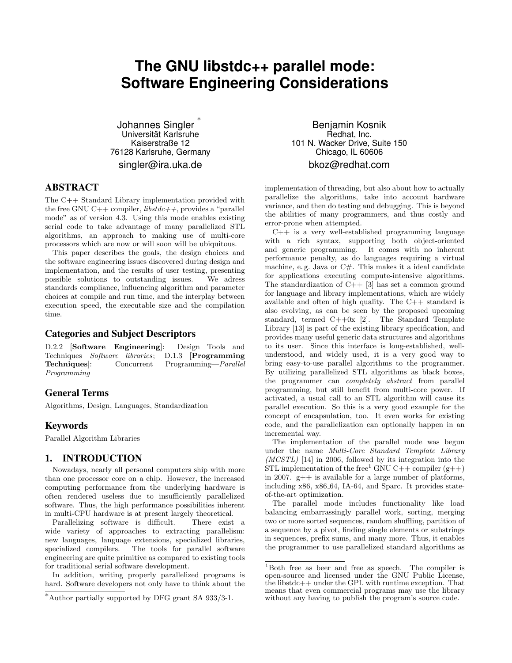# **The GNU libstdc++ parallel mode: Software Engineering Considerations**

Johannes Singler ∗ Universitat Karlsruhe ¨ Kaiserstraße 12 76128 Karlsruhe, Germany singler@ira.uka.de

## ABSTRACT

The C++ Standard Library implementation provided with the free GNU C++ compiler,  $\textit{listdc++}$ , provides a "parallel mode" as of version 4.3. Using this mode enables existing serial code to take advantage of many parallelized STL algorithms, an approach to making use of multi-core processors which are now or will soon will be ubiquitous.

This paper describes the goals, the design choices and the software engineering issues discovered during design and implementation, and the results of user testing, presenting possible solutions to outstanding issues. We adress standards compliance, influencing algorithm and parameter choices at compile and run time, and the interplay between execution speed, the executable size and the compilation time.

## Categories and Subject Descriptors

D.2.2 [Software Engineering]: Design Tools and Techniques—Software libraries; D.1.3 [Programming Techniques]: Concurrent Programming—Parallel Programming

## General Terms

Algorithms, Design, Languages, Standardization

#### Keywords

Parallel Algorithm Libraries

# 1. INTRODUCTION

Nowadays, nearly all personal computers ship with more than one processor core on a chip. However, the increased computing performance from the underlying hardware is often rendered useless due to insufficiently parallelized software. Thus, the high performance possibilities inherent in multi-CPU hardware is at present largely theoretical.

Parallelizing software is difficult. There exist a wide variety of approaches to extracting parallelism: new languages, language extensions, specialized libraries, The tools for parallel software engineering are quite primitive as compared to existing tools for traditional serial software development.

In addition, writing properly parallelized programs is hard. Software developers not only have to think about the

Benjamin Kosnik Redhat, Inc. 101 N. Wacker Drive, Suite 150 Chicago, IL 60606 bkoz@redhat.com

implementation of threading, but also about how to actually parallelize the algorithms, take into account hardware variance, and then do testing and debugging. This is beyond the abilities of many programmers, and thus costly and error-prone when attempted.

 $C_{++}$  is a very well-established programming language with a rich syntax, supporting both object-oriented and generic programming. It comes with no inherent performance penalty, as do languages requiring a virtual machine, e.g. Java or  $C#$ . This makes it a ideal candidate for applications executing compute-intensive algorithms. The standardization of  $C++$  [3] has set a common ground for language and library implementations, which are widely available and often of high quality. The C++ standard is also evolving, as can be seen by the proposed upcoming standard, termed  $C++0x$  [2]. The Standard Template Library [13] is part of the existing library specification, and provides many useful generic data structures and algorithms to its user. Since this interface is long-established, wellunderstood, and widely used, it is a very good way to bring easy-to-use parallel algorithms to the programmer. By utilizing parallelized STL algorithms as black boxes, the programmer can completely abstract from parallel programming, but still benefit from multi-core power. If activated, a usual call to an STL algorithm will cause its parallel execution. So this is a very good example for the concept of encapsulation, too. It even works for existing code, and the parallelization can optionally happen in an incremental way.

The implementation of the parallel mode was begun under the name Multi-Core Standard Template Library  $(MCSTL)$  [14] in 2006, followed by its integration into the STL implementation of the free<sup>1</sup> GNU C++ compiler  $(g++)$ in 2007.  $g_{++}$  is available for a large number of platforms, including x86, x86 64, IA-64, and Sparc. It provides stateof-the-art optimization.

The parallel mode includes functionality like load balancing embarrassingly parallel work, sorting, merging two or more sorted sequences, random shuffling, partition of a sequence by a pivot, finding single elements or substrings in sequences, prefix sums, and many more. Thus, it enables the programmer to use parallelized standard algorithms as

<sup>∗</sup>Author partially supported by DFG grant SA 933/3-1.

<sup>1</sup>Both free as beer and free as speech. The compiler is open-source and licensed under the GNU Public License, the libstdc++ under the GPL with runtime exception. That means that even commercial programs may use the library without any having to publish the program's source code.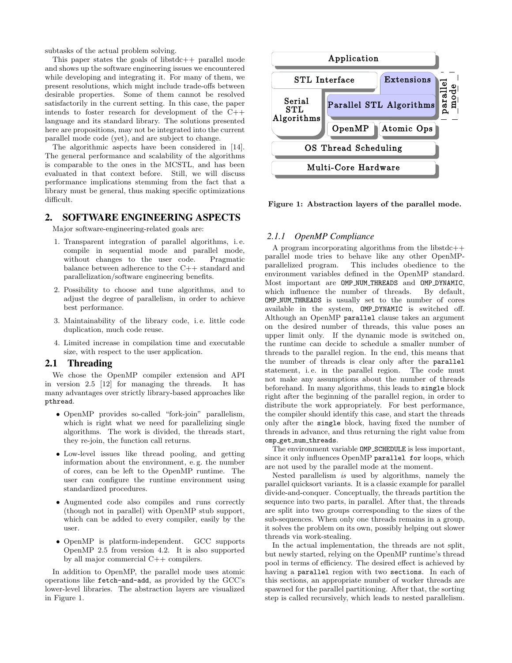subtasks of the actual problem solving.

This paper states the goals of libstdc $++$  parallel mode and shows up the software engineering issues we encountered while developing and integrating it. For many of them, we present resolutions, which might include trade-offs between desirable properties. Some of them cannot be resolved satisfactorily in the current setting. In this case, the paper intends to foster research for development of the C++ language and its standard library. The solutions presented here are propositions, may not be integrated into the current parallel mode code (yet), and are subject to change.

The algorithmic aspects have been considered in [14]. The general performance and scalability of the algorithms is comparable to the ones in the MCSTL, and has been evaluated in that context before. Still, we will discuss performance implications stemming from the fact that a library must be general, thus making specific optimizations difficult.

# 2. SOFTWARE ENGINEERING ASPECTS

Major software-engineering-related goals are:

- 1. Transparent integration of parallel algorithms, i. e. compile in sequential mode and parallel mode, without changes to the user code. Pragmatic balance between adherence to the C++ standard and parallelization/software engineering benefits.
- 2. Possibility to choose and tune algorithms, and to adjust the degree of parallelism, in order to achieve best performance.
- 3. Maintainability of the library code, i. e. little code duplication, much code reuse.
- 4. Limited increase in compilation time and executable size, with respect to the user application.

#### 2.1 Threading

We chose the OpenMP compiler extension and API in version 2.5 [12] for managing the threads. It has many advantages over strictly library-based approaches like pthread.

- OpenMP provides so-called "fork-join" parallelism, which is right what we need for parallelizing single algorithms. The work is divided, the threads start, they re-join, the function call returns.
- Low-level issues like thread pooling, and getting information about the environment, e. g. the number of cores, can be left to the OpenMP runtime. The user can configure the runtime environment using standardized procedures.
- Augmented code also compiles and runs correctly (though not in parallel) with OpenMP stub support, which can be added to every compiler, easily by the user.
- OpenMP is platform-independent. GCC supports OpenMP 2.5 from version 4.2. It is also supported by all major commercial C++ compilers.

In addition to OpenMP, the parallel mode uses atomic operations like fetch-and-add, as provided by the GCC's lower-level libraries. The abstraction layers are visualized in Figure 1.



Figure 1: Abstraction layers of the parallel mode.

# *2.1.1 OpenMP Compliance*

A program incorporating algorithms from the libstdc++ parallel mode tries to behave like any other OpenMPparallelized program. This includes obedience to the environment variables defined in the OpenMP standard. Most important are OMP NUM THREADS and OMP DYNAMIC, which influence the number of threads. By default, OMP NUM THREADS is usually set to the number of cores available in the system, OMP DYNAMIC is switched off. Although an OpenMP parallel clause takes an argument on the desired number of threads, this value poses an upper limit only. If the dynamic mode is switched on, the runtime can decide to schedule a smaller number of threads to the parallel region. In the end, this means that the number of threads is clear only after the parallel statement, i.e. in the parallel region. The code must not make any assumptions about the number of threads beforehand. In many algorithms, this leads to single block right after the beginning of the parallel region, in order to distribute the work appropriately. For best performance, the compiler should identify this case, and start the threads only after the single block, having fixed the number of threads in advance, and thus returning the right value from omp get num threads.

The environment variable OMP SCHEDULE is less important, since it only influences OpenMP parallel for loops, which are not used by the parallel mode at the moment.

Nested parallelism is used by algorithms, namely the parallel quicksort variants. It is a classic example for parallel divide-and-conquer. Conceptually, the threads partition the sequence into two parts, in parallel. After that, the threads are split into two groups corresponding to the sizes of the sub-sequences. When only one threads remains in a group, it solves the problem on its own, possibly helping out slower threads via work-stealing.

In the actual implementation, the threads are not split, but newly started, relying on the OpenMP runtime's thread pool in terms of efficiency. The desired effect is achieved by having a parallel region with two sections. In each of this sections, an appropriate number of worker threads are spawned for the parallel partitioning. After that, the sorting step is called recursively, which leads to nested parallelism.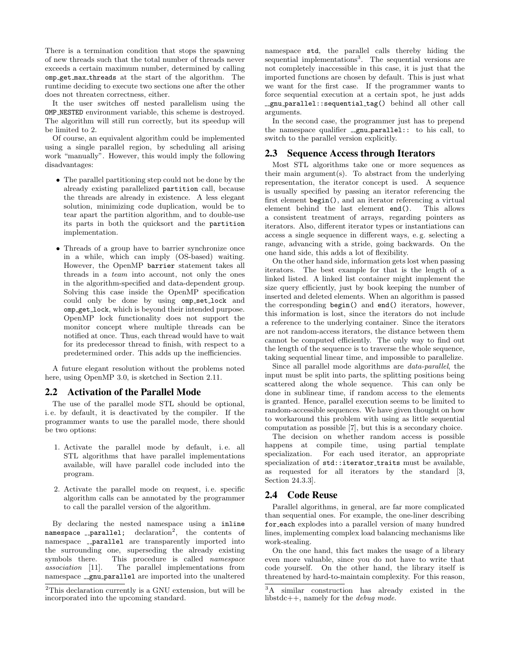There is a termination condition that stops the spawning of new threads such that the total number of threads never exceeds a certain maximum number, determined by calling omp get max threads at the start of the algorithm. The runtime deciding to execute two sections one after the other does not threaten correctness, either.

It the user switches off nested parallelism using the OMP NESTED environment variable, this scheme is destroyed. The algorithm will still run correctly, but its speedup will be limited to 2.

Of course, an equivalent algorithm could be implemented using a single parallel region, by scheduling all arising work "manually". However, this would imply the following disadvantages:

- The parallel partitioning step could not be done by the already existing parallelized partition call, because the threads are already in existence. A less elegant solution, minimizing code duplication, would be to tear apart the partition algorithm, and to double-use its parts in both the quicksort and the partition implementation.
- Threads of a group have to barrier synchronize once in a while, which can imply (OS-based) waiting. However, the OpenMP barrier statement takes all threads in a team into account, not only the ones in the algorithm-specified and data-dependent group. Solving this case inside the OpenMP specification could only be done by using omp\_set\_lock and omp get lock, which is beyond their intended purpose. OpenMP lock functionality does not support the monitor concept where multiple threads can be notified at once. Thus, each thread would have to wait for its predecessor thread to finish, with respect to a predetermined order. This adds up the inefficiencies.

A future elegant resolution without the problems noted here, using OpenMP 3.0, is sketched in Section 2.11.

## 2.2 Activation of the Parallel Mode

The use of the parallel mode STL should be optional, i. e. by default, it is deactivated by the compiler. If the programmer wants to use the parallel mode, there should be two options:

- 1. Activate the parallel mode by default, i. e. all STL algorithms that have parallel implementations available, will have parallel code included into the program.
- 2. Activate the parallel mode on request, i. e. specific algorithm calls can be annotated by the programmer to call the parallel version of the algorithm.

By declaring the nested namespace using a inline  $n$ amespace  $p$ arallel; declaration<sup>2</sup>, the contents of namespace \_parallel are transparently imported into the surrounding one, superseding the already existing symbols there. This procedure is called *namespace* association [11]. The parallel implementations from namespace \_gnu\_parallel are imported into the unaltered

namespace std, the parallel calls thereby hiding the sequential implementations<sup>3</sup>. The sequential versions are not completely inaccessible in this case, it is just that the imported functions are chosen by default. This is just what we want for the first case. If the programmer wants to force sequential execution at a certain spot, he just adds gnu parallel::sequential tag() behind all other call arguments.

In the second case, the programmer just has to prepend the namespace qualifier  $\equiv$  gnu parallel:: to his call, to switch to the parallel version explicitly.

#### 2.3 Sequence Access through Iterators

Most STL algorithms take one or more sequences as their main argument(s). To abstract from the underlying representation, the iterator concept is used. A sequence is usually specified by passing an iterator referencing the first element begin(), and an iterator referencing a virtual element behind the last element end(). This allows a consistent treatment of arrays, regarding pointers as iterators. Also, different iterator types or instantiations can access a single sequence in different ways, e. g. selecting a range, advancing with a stride, going backwards. On the one hand side, this adds a lot of flexibility.

On the other hand side, information gets lost when passing iterators. The best example for that is the length of a linked listed. A linked list container might implement the size query efficiently, just by book keeping the number of inserted and deleted elements. When an algorithm is passed the corresponding begin() and end() iterators, however, this information is lost, since the iterators do not include a reference to the underlying container. Since the iterators are not random-access iterators, the distance between them cannot be computed efficiently. The only way to find out the length of the sequence is to traverse the whole sequence, taking sequential linear time, and impossible to parallelize.

Since all parallel mode algorithms are data-parallel, the input must be split into parts, the splitting positions being scattered along the whole sequence. This can only be done in sublinear time, if random access to the elements is granted. Hence, parallel execution seems to be limited to random-accessible sequences. We have given thought on how to workaround this problem with using as little sequential computation as possible [7], but this is a secondary choice.

The decision on whether random access is possible happens at compile time, using partial template specialization. For each used iterator, an appropriate specialization of  $std::iterator\_traits$  must be available, as requested for all iterators by the standard [3, Section 24.3.3].

#### 2.4 Code Reuse

Parallel algorithms, in general, are far more complicated than sequential ones. For example, the one-liner describing for each explodes into a parallel version of many hundred lines, implementing complex load balancing mechanisms like work-stealing.

On the one hand, this fact makes the usage of a library even more valuable, since you do not have to write that code yourself. On the other hand, the library itself is threatened by hard-to-maintain complexity. For this reason,

 $2$ This declaration currently is a GNU extension, but will be incorporated into the upcoming standard.

<sup>3</sup>A similar construction has already existed in the libstdc++, namely for the debug mode.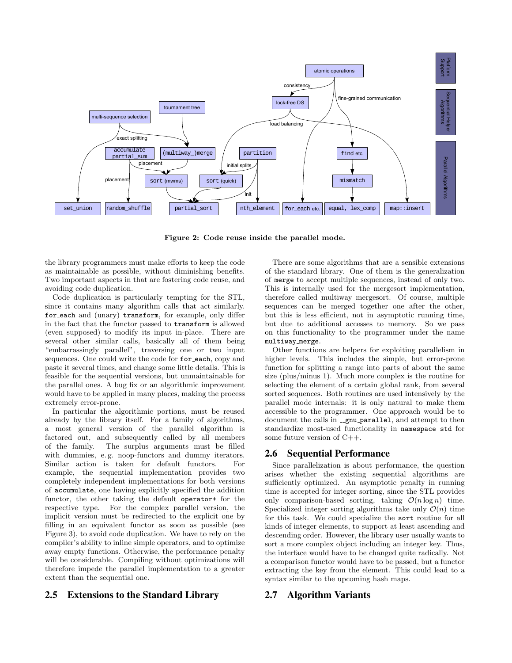

Figure 2: Code reuse inside the parallel mode.

the library programmers must make efforts to keep the code as maintainable as possible, without diminishing benefits. Two important aspects in that are fostering code reuse, and avoiding code duplication.

Code duplication is particularly tempting for the STL, since it contains many algorithm calls that act similarly. for each and (unary) transform, for example, only differ in the fact that the functor passed to transform is allowed (even supposed) to modify its input in-place. There are several other similar calls, basically all of them being "embarrassingly parallel", traversing one or two input sequences. One could write the code for for each, copy and paste it several times, and change some little details. This is feasible for the sequential versions, but unmaintainable for the parallel ones. A bug fix or an algorithmic improvement would have to be applied in many places, making the process extremely error-prone.

In particular the algorithmic portions, must be reused already by the library itself. For a family of algorithms, a most general version of the parallel algorithm is factored out, and subsequently called by all members of the family. The surplus arguments must be filled with dummies, e.g. noop-functors and dummy iterators. Similar action is taken for default functors. For example, the sequential implementation provides two completely independent implementations for both versions of accumulate, one having explicitly specified the addition functor, the other taking the default operator+ for the respective type. For the complex parallel version, the implicit version must be redirected to the explicit one by filling in an equivalent functor as soon as possible (see Figure 3), to avoid code duplication. We have to rely on the compiler's ability to inline simple operators, and to optimize away empty functions. Otherwise, the performance penalty will be considerable. Compiling without optimizations will therefore impede the parallel implementation to a greater extent than the sequential one.

# 2.5 Extensions to the Standard Library

There are some algorithms that are a sensible extensions of the standard library. One of them is the generalization of merge to accept multiple sequences, instead of only two. This is internally used for the mergesort implementation, therefore called multiway mergesort. Of course, multiple sequences can be merged together one after the other, but this is less efficient, not in asymptotic running time, but due to additional accesses to memory. So we pass on this functionality to the programmer under the name multiway merge.

Other functions are helpers for exploiting parallelism in higher levels. This includes the simple, but error-prone function for splitting a range into parts of about the same size (plus/minus 1). Much more complex is the routine for selecting the element of a certain global rank, from several sorted sequences. Both routines are used intensively by the parallel mode internals: it is only natural to make them accessible to the programmer. One approach would be to document the calls in  $\Box$ gnu parallel, and attempt to then standardize most-used functionality in namespace std for some future version of C++.

# 2.6 Sequential Performance

Since parallelization is about performance, the question arises whether the existing sequential algorithms are sufficiently optimized. An asymptotic penalty in running time is accepted for integer sorting, since the STL provides only comparison-based sorting, taking  $\mathcal{O}(n \log n)$  time. Specialized integer sorting algorithms take only  $\mathcal{O}(n)$  time for this task. We could specialize the sort routine for all kinds of integer elements, to support at least ascending and descending order. However, the library user usually wants to sort a more complex object including an integer key. Thus, the interface would have to be changed quite radically. Not a comparison functor would have to be passed, but a functor extracting the key from the element. This could lead to a syntax similar to the upcoming hash maps.

# 2.7 Algorithm Variants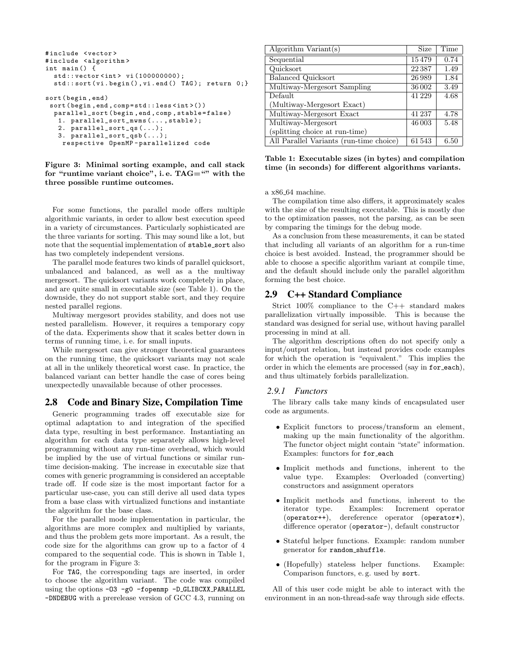```
#include <vector>
# include < algorithm >
int main () {
  std :: vector < int > vi (100000000);
  std::sort(vi.begin(), vi.end() TAG); return 0;}
sort ( begin , end )
 sort (begin, end, comp=std::less<int>())
  parallel_sort ( begin , end , comp , stable = false )
   1. parallel_sort_mwms (... , stable );
   2. parallel_sort_qs (...);
   3. parallel_sort_qsb (...);
    respective OpenMP - parallelized code
```
Figure 3: Minimal sorting example, and call stack for "runtime variant choice", i.e.  $TAG =$ "" with the three possible runtime outcomes.

For some functions, the parallel mode offers multiple algorithmic variants, in order to allow best execution speed in a variety of circumstances. Particularly sophisticated are the three variants for sorting. This may sound like a lot, but note that the sequential implementation of stable sort also has two completely independent versions.

The parallel mode features two kinds of parallel quicksort, unbalanced and balanced, as well as a the multiway mergesort. The quicksort variants work completely in place, and are quite small in executable size (see Table 1). On the downside, they do not support stable sort, and they require nested parallel regions.

Multiway mergesort provides stability, and does not use nested parallelism. However, it requires a temporary copy of the data. Experiments show that it scales better down in terms of running time, i. e. for small inputs.

While mergesort can give stronger theoretical guarantees on the running time, the quicksort variants may not scale at all in the unlikely theoretical worst case. In practice, the balanced variant can better handle the case of cores being unexpectedly unavailable because of other processes.

#### 2.8 Code and Binary Size, Compilation Time

Generic programming trades off executable size for optimal adaptation to and integration of the specified data type, resulting in best performance. Instantiating an algorithm for each data type separately allows high-level programming without any run-time overhead, which would be implied by the use of virtual functions or similar runtime decision-making. The increase in executable size that comes with generic programming is considered an acceptable trade off. If code size is the most important factor for a particular use-case, you can still derive all used data types from a base class with virtualized functions and instantiate the algorithm for the base class.

For the parallel mode implementation in particular, the algorithms are more complex and multiplied by variants, and thus the problem gets more important. As a result, the code size for the algorithms can grow up to a factor of 4 compared to the sequential code. This is shown in Table 1, for the program in Figure 3:

For TAG, the corresponding tags are inserted, in order to choose the algorithm variant. The code was compiled using the options -O3 -g0 -fopenmp -D GLIBCXX PARALLEL -DNDEBUG with a prerelease version of GCC 4.3, running on

| Algorithm Variant $(s)$                 | Size   | Time |
|-----------------------------------------|--------|------|
| Sequential                              | 15479  | 0.74 |
| Quicksort                               | 22387  | 1.49 |
| <b>Balanced Quicksort</b>               | 26989  | 1.84 |
| Multiway-Mergesort Sampling             | 36 002 | 3.49 |
| Default                                 | 41229  | 4.68 |
| (Multiway-Mergesort Exact)              |        |      |
| Multiway-Mergesort Exact                | 41237  | 4.78 |
| Multiway-Mergesort                      | 46 003 | 5.48 |
| (splitting choice at run-time)          |        |      |
| All Parallel Variants (run-time choice) | 61543  | 6.50 |

Table 1: Executable sizes (in bytes) and compilation time (in seconds) for different algorithms variants.

a x86<sub>-64</sub> machine.

The compilation time also differs, it approximately scales with the size of the resulting executable. This is mostly due to the optimization passes, not the parsing, as can be seen by comparing the timings for the debug mode.

As a conclusion from these measurements, it can be stated that including all variants of an algorithm for a run-time choice is best avoided. Instead, the programmer should be able to choose a specific algorithm variant at compile time, and the default should include only the parallel algorithm forming the best choice.

## 2.9 C++ Standard Compliance

Strict 100% compliance to the C++ standard makes parallelization virtually impossible. This is because the standard was designed for serial use, without having parallel processing in mind at all.

The algorithm descriptions often do not specify only a input/output relation, but instead provides code examples for which the operation is "equivalent." This implies the order in which the elements are processed (say in for\_each), and thus ultimately forbids parallelization.

#### *2.9.1 Functors*

The library calls take many kinds of encapsulated user code as arguments.

- Explicit functors to process/transform an element, making up the main functionality of the algorithm. The functor object might contain "state" information. Examples: functors for for each
- Implicit methods and functions, inherent to the value type. Examples: Overloaded (converting) constructors and assignment operators
- Implicit methods and functions, inherent to the iterator type. Examples: Increment operator (operator++), dereference operator (operator\*), difference operator (operator-), default constructor
- Stateful helper functions. Example: random number generator for random shuffle.
- (Hopefully) stateless helper functions. Example: Comparison functors, e. g. used by sort.

All of this user code might be able to interact with the environment in an non-thread-safe way through side effects.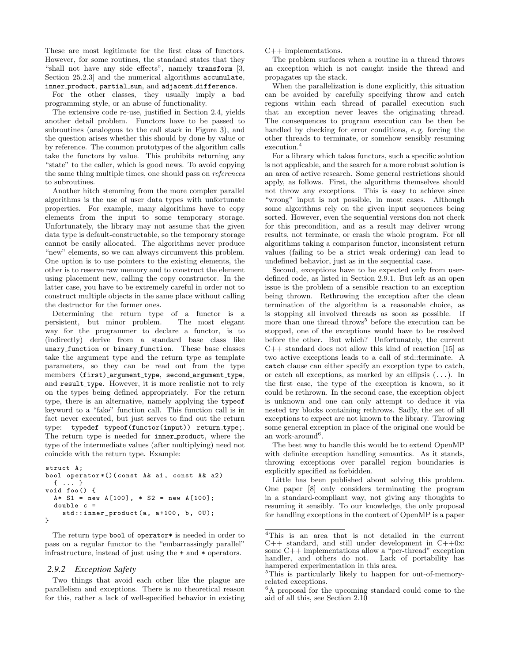These are most legitimate for the first class of functors. However, for some routines, the standard states that they "shall not have any side effects", namely transform [3, Section 25.2.3] and the numerical algorithms accumulate, inner\_product, partial\_sum, and adjacent\_difference.

For the other classes, they usually imply a bad programming style, or an abuse of functionality.

The extensive code re-use, justified in Section 2.4, yields another detail problem. Functors have to be passed to subroutines (analogous to the call stack in Figure 3), and the question arises whether this should by done by value or by reference. The common prototypes of the algorithm calls take the functors by value. This prohibits returning any "state" to the caller, which is good news. To avoid copying the same thing multiple times, one should pass on references to subroutines.

Another hitch stemming from the more complex parallel algorithms is the use of user data types with unfortunate properties. For example, many algorithms have to copy elements from the input to some temporary storage. Unfortunately, the library may not assume that the given data type is default-constructable, so the temporary storage cannot be easily allocated. The algorithms never produce "new" elements, so we can always circumvent this problem. One option is to use pointers to the existing elements, the other is to reserve raw memory and to construct the element using placement new, calling the copy constructor. In the latter case, you have to be extremely careful in order not to construct multiple objects in the same place without calling the destructor for the former ones.

Determining the return type of a functor is a persistent, but minor problem. The most elegant way for the programmer to declare a functor, is to (indirectly) derive from a standard base class like unary function or binary function. These base classes take the argument type and the return type as template parameters, so they can be read out from the type members (first)\_argument\_type, second\_argument\_type, and result type. However, it is more realistic not to rely on the types being defined appropriately. For the return type, there is an alternative, namely applying the typeof keyword to a "fake" function call. This function call is in fact never executed, but just serves to find out the return type: typedef typeof(functor(input)) return\_type;. The return type is needed for inner product, where the type of the intermediate values (after multiplying) need not coincide with the return type. Example:

```
struct A;
bool operator * () (const A& a1, const A& a2)
  { ... }
void foo () {
  A* S1 = new A[100], * S2 = new A[100];
  double c =
    std::inner\_product(a, a+100, b, 0U);}
```
The return type bool of operator\* is needed in order to pass on a regular functor to the "embarrassingly parallel" infrastructure, instead of just using the + and \* operators.

#### *2.9.2 Exception Safety*

Two things that avoid each other like the plague are parallelism and exceptions. There is no theoretical reason for this, rather a lack of well-specified behavior in existing C++ implementations.

The problem surfaces when a routine in a thread throws an exception which is not caught inside the thread and propagates up the stack.

When the parallelization is done explicitly, this situation can be avoided by carefully specifying throw and catch regions within each thread of parallel execution such that an exception never leaves the originating thread. The consequences to program execution can be then be handled by checking for error conditions, e. g. forcing the other threads to terminate, or somehow sensibly resuming execution.<sup>4</sup>

For a library which takes functors, such a specific solution is not applicable, and the search for a more robust solution is an area of active research. Some general restrictions should apply, as follows. First, the algorithms themselves should not throw any exceptions. This is easy to achieve since "wrong" input is not possible, in most cases. Although some algorithms rely on the given input sequences being sorted. However, even the sequential versions don not check for this precondition, and as a result may deliver wrong results, not terminate, or crash the whole program. For all algorithms taking a comparison functor, inconsistent return values (failing to be a strict weak ordering) can lead to undefined behavior, just as in the sequential case.

Second, exceptions have to be expected only from userdefined code, as listed in Section 2.9.1. But left as an open issue is the problem of a sensible reaction to an exception being thrown. Rethrowing the exception after the clean termination of the algorithm is a reasonable choice, as is stopping all involved threads as soon as possible. If more than one thread throws<sup>5</sup> before the execution can be stopped, one of the exceptions would have to be resolved before the other. But which? Unfortunately, the current  $C++$  standard does not allow this kind of reaction [15] as two active exceptions leads to a call of std::terminate. A catch clause can either specify an exception type to catch, or catch all exceptions, as marked by an ellipsis  $(\ldots)$ . In the first case, the type of the exception is known, so it could be rethrown. In the second case, the exception object is unknown and one can only attempt to deduce it via nested try blocks containing rethrows. Sadly, the set of all exceptions to expect are not known to the library. Throwing some general exception in place of the original one would be an work-around<sup>6</sup>.

The best way to handle this would be to extend OpenMP with definite exception handling semantics. As it stands, throwing exceptions over parallel region boundaries is explicitly specified as forbidden.

Little has been published about solving this problem. One paper [8] only considers terminating the program in a standard-compliant way, not giving any thoughts to resuming it sensibly. To our knowledge, the only proposal for handling exceptions in the context of OpenMP is a paper

<sup>4</sup>This is an area that is not detailed in the current  $C++$  standard, and still under development in  $C++0x$ : some C++ implementations allow a "per-thread" exception handler, and others do not. Lack of portability has hampered experimentation in this area.

<sup>5</sup>This is particularly likely to happen for out-of-memoryrelated exceptions.

<sup>6</sup>A proposal for the upcoming standard could come to the aid of all this, see Section 2.10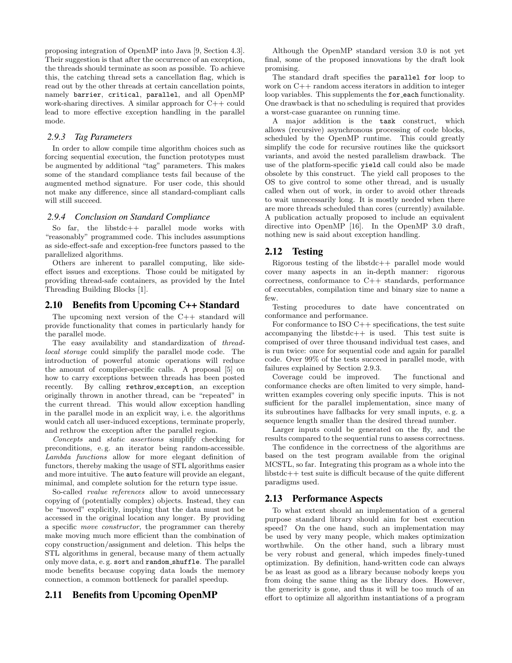proposing integration of OpenMP into Java [9, Section 4.3]. Their suggestion is that after the occurrence of an exception, the threads should terminate as soon as possible. To achieve this, the catching thread sets a cancellation flag, which is read out by the other threads at certain cancellation points, namely barrier, critical, parallel, and all OpenMP work-sharing directives. A similar approach for C++ could lead to more effective exception handling in the parallel mode.

## *2.9.3 Tag Parameters*

In order to allow compile time algorithm choices such as forcing sequential execution, the function prototypes must be augmented by additional "tag" parameters. This makes some of the standard compliance tests fail because of the augmented method signature. For user code, this should not make any difference, since all standard-compliant calls will still succeed.

#### *2.9.4 Conclusion on Standard Compliance*

So far, the libstdc++ parallel mode works with "reasonably" programmed code. This includes assumptions as side-effect-safe and exception-free functors passed to the parallelized algorithms.

Others are inherent to parallel computing, like sideeffect issues and exceptions. Those could be mitigated by providing thread-safe containers, as provided by the Intel Threading Building Blocks [1].

## 2.10 Benefits from Upcoming C++ Standard

The upcoming next version of the C++ standard will provide functionality that comes in particularly handy for the parallel mode.

The easy availability and standardization of threadlocal storage could simplify the parallel mode code. The introduction of powerful atomic operations will reduce the amount of compiler-specific calls. A proposal [5] on how to carry exceptions between threads has been posted recently. By calling rethrow exception, an exception originally thrown in another thread, can be "repeated" in the current thread. This would allow exception handling in the parallel mode in an explicit way, i. e. the algorithms would catch all user-induced exceptions, terminate properly, and rethrow the exception after the parallel region.

Concepts and static assertions simplify checking for preconditions, e. g. an iterator being random-accessible. Lambda functions allow for more elegant definition of functors, thereby making the usage of STL algorithms easier and more intuitive. The auto feature will provide an elegant, minimal, and complete solution for the return type issue.

So-called *rvalue references* allow to avoid unnecessary copying of (potentially complex) objects. Instead, they can be "moved" explicitly, implying that the data must not be accessed in the original location any longer. By providing a specific move constructor, the programmer can thereby make moving much more efficient than the combination of copy construction/assignment and deletion. This helps the STL algorithms in general, because many of them actually only move data, e. g. sort and random shuffle. The parallel mode benefits because copying data loads the memory connection, a common bottleneck for parallel speedup.

# 2.11 Benefits from Upcoming OpenMP

Although the OpenMP standard version 3.0 is not yet final, some of the proposed innovations by the draft look promising.

The standard draft specifies the parallel for loop to work on C++ random access iterators in addition to integer loop variables. This supplements the for-each functionality. One drawback is that no scheduling is required that provides a worst-case guarantee on running time.

A major addition is the task construct, which allows (recursive) asynchronous processing of code blocks, scheduled by the OpenMP runtime. This could greatly simplify the code for recursive routines like the quicksort variants, and avoid the nested parallelism drawback. The use of the platform-specific yield call could also be made obsolete by this construct. The yield call proposes to the OS to give control to some other thread, and is usually called when out of work, in order to avoid other threads to wait unnecessarily long. It is mostly needed when there are more threads scheduled than cores (currently) available. A publication actually proposed to include an equivalent directive into OpenMP [16]. In the OpenMP 3.0 draft, nothing new is said about exception handling.

#### 2.12 Testing

Rigorous testing of the libstdc++ parallel mode would cover many aspects in an in-depth manner: rigorous correctness, conformance to C++ standards, performance of executables, compilation time and binary size to name a few.

Testing procedures to date have concentrated on conformance and performance.

For conformance to ISO  $C++$  specifications, the test suite  $accompanying$  the libst $dc++$  is used. This test suite is comprised of over three thousand individual test cases, and is run twice: once for sequential code and again for parallel code. Over 99% of the tests succeed in parallel mode, with failures explained by Section 2.9.3.

Coverage could be improved. The functional and conformance checks are often limited to very simple, handwritten examples covering only specific inputs. This is not sufficient for the parallel implementation, since many of its subroutines have fallbacks for very small inputs, e. g. a sequence length smaller than the desired thread number.

Larger inputs could be generated on the fly, and the results compared to the sequential runs to assess correctness.

The confidence in the correctness of the algorithms are based on the test program available from the original MCSTL, so far. Integrating this program as a whole into the libstdc++ test suite is difficult because of the quite different paradigms used.

#### 2.13 Performance Aspects

To what extent should an implementation of a general purpose standard library should aim for best execution speed? On the one hand, such an implementation may be used by very many people, which makes optimization worthwhile. On the other hand, such a library must be very robust and general, which impedes finely-tuned optimization. By definition, hand-written code can always be as least as good as a library because nobody keeps you from doing the same thing as the library does. However, the genericity is gone, and thus it will be too much of an effort to optimize all algorithm instantiations of a program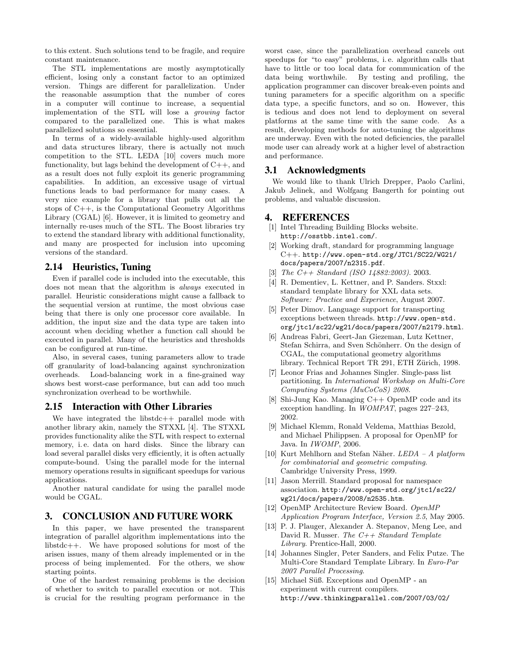to this extent. Such solutions tend to be fragile, and require constant maintenance.

The STL implementations are mostly asymptotically efficient, losing only a constant factor to an optimized version. Things are different for parallelization. Under the reasonable assumption that the number of cores in a computer will continue to increase, a sequential implementation of the STL will lose a growing factor compared to the parallelized one. This is what makes parallelized solutions so essential.

In terms of a widely-available highly-used algorithm and data structures library, there is actually not much competition to the STL. LEDA [10] covers much more functionality, but lags behind the development of C++, and as a result does not fully exploit its generic programming capabilities. In addition, an excessive usage of virtual functions leads to bad performance for many cases. A very nice example for a library that pulls out all the stops of C++, is the Computational Geometry Algorithms Library (CGAL) [6]. However, it is limited to geometry and internally re-uses much of the STL. The Boost libraries try to extend the standard library with additional functionality, and many are prospected for inclusion into upcoming versions of the standard.

# 2.14 Heuristics, Tuning

Even if parallel code is included into the executable, this does not mean that the algorithm is always executed in parallel. Heuristic considerations might cause a fallback to the sequential version at runtime, the most obvious case being that there is only one processor core available. In addition, the input size and the data type are taken into account when deciding whether a function call should be executed in parallel. Many of the heuristics and thresholds can be configured at run-time.

Also, in several cases, tuning parameters allow to trade off granularity of load-balancing against synchronization overheads. Load-balancing work in a fine-grained way shows best worst-case performance, but can add too much synchronization overhead to be worthwhile.

#### 2.15 Interaction with Other Libraries

We have integrated the libst $dc++$  parallel mode with another library akin, namely the STXXL [4]. The STXXL provides functionality alike the STL with respect to external memory, i.e. data on hard disks. Since the library can load several parallel disks very efficiently, it is often actually compute-bound. Using the parallel mode for the internal memory operations results in significant speedups for various applications.

Another natural candidate for using the parallel mode would be CGAL.

#### 3. CONCLUSION AND FUTURE WORK

In this paper, we have presented the transparent integration of parallel algorithm implementations into the libstdc++. We have proposed solutions for most of the arisen issues, many of them already implemented or in the process of being implemented. For the others, we show starting points.

One of the hardest remaining problems is the decision of whether to switch to parallel execution or not. This is crucial for the resulting program performance in the worst case, since the parallelization overhead cancels out speedups for "to easy" problems, i. e. algorithm calls that have to little or too local data for communication of the data being worthwhile. By testing and profiling, the application programmer can discover break-even points and tuning parameters for a specific algorithm on a specific data type, a specific functors, and so on. However, this is tedious and does not lend to deployment on several platforms at the same time with the same code. As a result, developing methods for auto-tuning the algorithms are underway. Even with the noted deficiencies, the parallel mode user can already work at a higher level of abstraction and performance.

## 3.1 Acknowledgments

We would like to thank Ulrich Drepper, Paolo Carlini, Jakub Jelinek, and Wolfgang Bangerth for pointing out problems, and valuable discussion.

### 4. REFERENCES

- [1] Intel Threading Building Blocks website. http://osstbb.intel.com/.
- [2] Working draft, standard for programming language C++. http://www.open-std.org/JTC1/SC22/WG21/ docs/papers/2007/n2315.pdf.
- [3] *The C++ Standard (ISO 14882:2003)*. 2003.
- [4] R. Dementiev, L. Kettner, and P. Sanders. Stxxl: standard template library for XXL data sets. Software: Practice and Experience, August 2007.
- [5] Peter Dimov. Language support for transporting exceptions between threads. http://www.open-std. org/jtc1/sc22/wg21/docs/papers/2007/n2179.html.
- [6] Andreas Fabri, Geert-Jan Giezeman, Lutz Kettner, Stefan Schirra, and Sven Schönherr. On the design of CGAL, the computational geometry algorithms library. Technical Report TR 291, ETH Zürich, 1998.
- [7] Leonor Frias and Johannes Singler. Single-pass list partitioning. In International Workshop on Multi-Core Computing Systems (MuCoCoS) 2008.
- [8] Shi-Jung Kao. Managing C++ OpenMP code and its exception handling. In WOMPAT, pages 227–243, 2002.
- [9] Michael Klemm, Ronald Veldema, Matthias Bezold, and Michael Philippsen. A proposal for OpenMP for Java. In IWOMP, 2006.
- [10] Kurt Mehlhorn and Stefan Näher.  $LEDA A$  platform for combinatorial and geometric computing. Cambridge University Press, 1999.
- [11] Jason Merrill. Standard proposal for namespace association. http://www.open-std.org/jtc1/sc22/ wg21/docs/papers/2008/n2535.htm.
- [12] OpenMP Architecture Review Board. OpenMP Application Program Interface, Version 2.5, May 2005.
- [13] P. J. Plauger, Alexander A. Stepanov, Meng Lee, and David R. Musser. The  $C++ Standard$  Template Library. Prentice-Hall, 2000.
- [14] Johannes Singler, Peter Sanders, and Felix Putze. The Multi-Core Standard Template Library. In Euro-Par 2007 Parallel Processing.
- [15] Michael Süß. Exceptions and OpenMP an experiment with current compilers. http://www.thinkingparallel.com/2007/03/02/